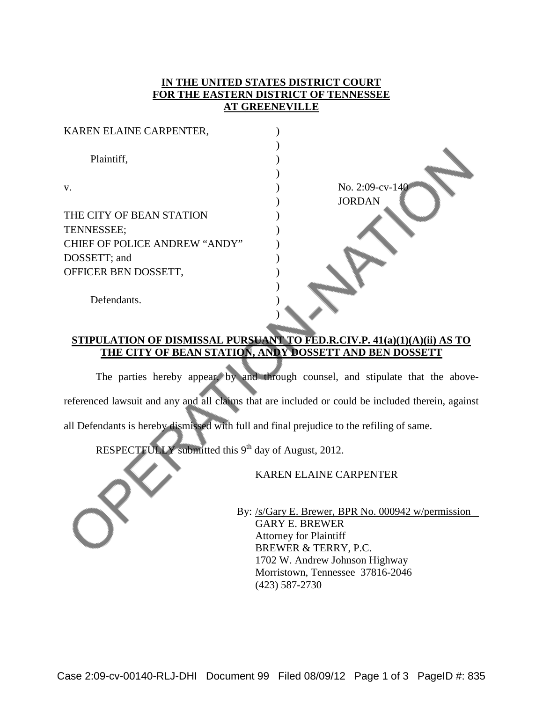## **IN THE UNITED STATES DISTRICT COURT FOR THE EASTERN DISTRICT OF TENNESSEE AT GREENEVILLE**

| KAREN ELAINE CARPENTER,              |                 |
|--------------------------------------|-----------------|
|                                      |                 |
| Plaintiff,                           |                 |
|                                      |                 |
| V.                                   | No. 2:09-cv-140 |
|                                      | <b>JORDAN</b>   |
| THE CITY OF BEAN STATION             |                 |
| TENNESSEE;                           |                 |
| <b>CHIEF OF POLICE ANDREW "ANDY"</b> |                 |
| DOSSETT; and                         |                 |
| OFFICER BEN DOSSETT,                 |                 |
| Defendants.                          |                 |
|                                      |                 |

## **STIPULATION OF DISMISSAL PURSUANT TO FED.R.CIV.P. 41(a)(1)(A)(ii) AS TO THE CITY OF BEAN STATION, ANDY DOSSETT AND BEN DOSSETT**

The parties hereby appear, by and through counsel, and stipulate that the abovereferenced lawsuit and any and all claims that are included or could be included therein, against all Defendants is hereby dismissed with full and final prejudice to the refiling of same.

RESPECTFULLY submitted this  $9<sup>th</sup>$  day of August, 2012.

KAREN ELAINE CARPENTER

 By: /s/Gary E. Brewer, BPR No. 000942 w/permission GARY E. BREWER Attorney for Plaintiff BREWER & TERRY, P.C. 1702 W. Andrew Johnson Highway Morristown, Tennessee 37816-2046 (423) 587-2730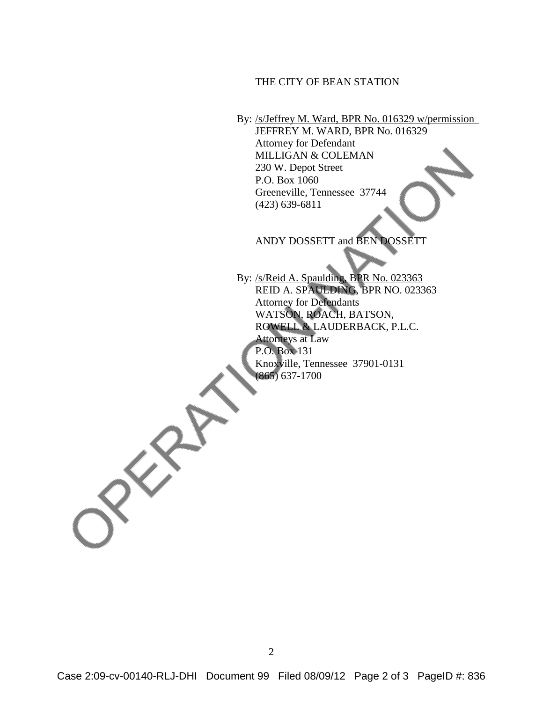## THE CITY OF BEAN STATION

By: /s/Jeffrey M. Ward, BPR No. 016329 w/permission JEFFREY M. WARD, BPR No. 016329 Attorney for Defendant MILLIGAN & COLEMAN 230 W. Depot Street P.O. Box 1060 Greeneville, Tennessee 37744 (423) 639-6811

ANDY DOSSETT and BEN DOSSETT

 By: /s/Reid A. Spaulding, BPR No. 023363 REID A. SPAULDING, BPR NO. 023363 Attorney for Defendants WATSON, ROACH, BATSON, ROWELL & LAUDERBACK, P.L.C. Attorneys at Law P.O. Box 131 Knoxville, Tennessee 37901-0131 (865) 637-1700